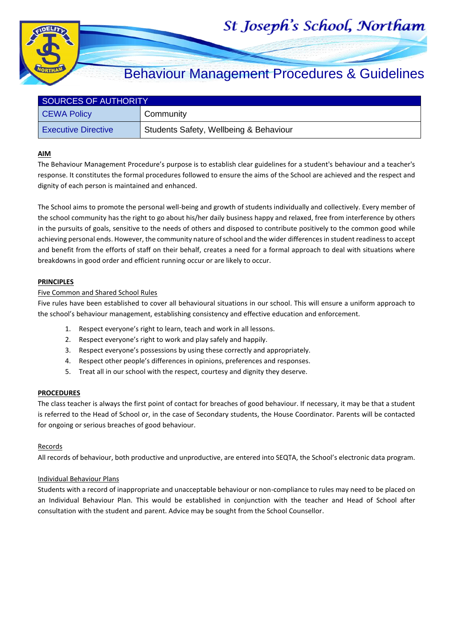# St Joseph's School, Northam



## Behaviour Management Procedures & Guidelines

| SOURCES OF AUTHORITY       |                                        |  |  |
|----------------------------|----------------------------------------|--|--|
| CEWA Policy                | Community                              |  |  |
| <b>Executive Directive</b> | Students Safety, Wellbeing & Behaviour |  |  |

#### **AIM**

The Behaviour Management Procedure's purpose is to establish clear guidelines for a student's behaviour and a teacher's response. It constitutes the formal procedures followed to ensure the aims of the School are achieved and the respect and dignity of each person is maintained and enhanced.

The School aims to promote the personal well-being and growth of students individually and collectively. Every member of the school community has the right to go about his/her daily business happy and relaxed, free from interference by others in the pursuits of goals, sensitive to the needs of others and disposed to contribute positively to the common good while achieving personal ends. However, the community nature of school and the wider differences in student readiness to accept and benefit from the efforts of staff on their behalf, creates a need for a formal approach to deal with situations where breakdowns in good order and efficient running occur or are likely to occur.

#### **PRINCIPLES**

#### Five Common and Shared School Rules

Five rules have been established to cover all behavioural situations in our school. This will ensure a uniform approach to the school's behaviour management, establishing consistency and effective education and enforcement.

- 1. Respect everyone's right to learn, teach and work in all lessons.
- 2. Respect everyone's right to work and play safely and happily.
- 3. Respect everyone's possessions by using these correctly and appropriately.
- 4. Respect other people's differences in opinions, preferences and responses.
- 5. Treat all in our school with the respect, courtesy and dignity they deserve.

#### **PROCEDURES**

The class teacher is always the first point of contact for breaches of good behaviour. If necessary, it may be that a student is referred to the Head of School or, in the case of Secondary students, the House Coordinator. Parents will be contacted for ongoing or serious breaches of good behaviour.

#### Records

All records of behaviour, both productive and unproductive, are entered into SEQTA, the School's electronic data program.

#### Individual Behaviour Plans

Students with a record of inappropriate and unacceptable behaviour or non-compliance to rules may need to be placed on an Individual Behaviour Plan. This would be established in conjunction with the teacher and Head of School after consultation with the student and parent. Advice may be sought from the School Counsellor.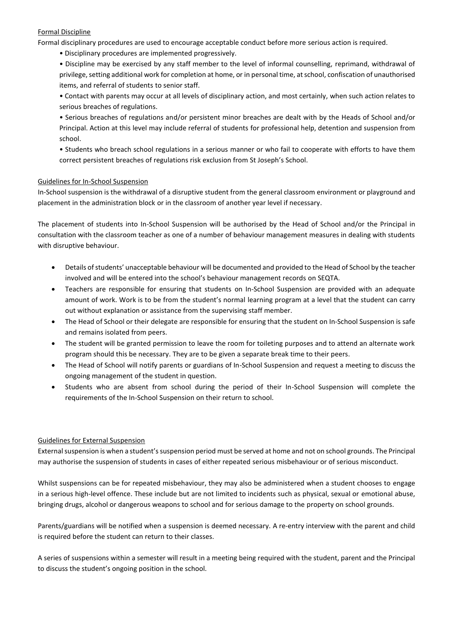#### Formal Discipline

Formal disciplinary procedures are used to encourage acceptable conduct before more serious action is required.

• Disciplinary procedures are implemented progressively.

• Discipline may be exercised by any staff member to the level of informal counselling, reprimand, withdrawal of privilege, setting additional work for completion at home, or in personal time, at school, confiscation of unauthorised items, and referral of students to senior staff.

• Contact with parents may occur at all levels of disciplinary action, and most certainly, when such action relates to serious breaches of regulations.

• Serious breaches of regulations and/or persistent minor breaches are dealt with by the Heads of School and/or Principal. Action at this level may include referral of students for professional help, detention and suspension from school.

• Students who breach school regulations in a serious manner or who fail to cooperate with efforts to have them correct persistent breaches of regulations risk exclusion from St Joseph's School.

#### Guidelines for In-School Suspension

In-School suspension is the withdrawal of a disruptive student from the general classroom environment or playground and placement in the administration block or in the classroom of another year level if necessary.

The placement of students into In-School Suspension will be authorised by the Head of School and/or the Principal in consultation with the classroom teacher as one of a number of behaviour management measures in dealing with students with disruptive behaviour.

- Details of students' unacceptable behaviour will be documented and provided to the Head of School by the teacher involved and will be entered into the school's behaviour management records on SEQTA.
- Teachers are responsible for ensuring that students on In-School Suspension are provided with an adequate amount of work. Work is to be from the student's normal learning program at a level that the student can carry out without explanation or assistance from the supervising staff member.
- The Head of School or their delegate are responsible for ensuring that the student on In-School Suspension is safe and remains isolated from peers.
- The student will be granted permission to leave the room for toileting purposes and to attend an alternate work program should this be necessary. They are to be given a separate break time to their peers.
- The Head of School will notify parents or guardians of In-School Suspension and request a meeting to discuss the ongoing management of the student in question.
- Students who are absent from school during the period of their In-School Suspension will complete the requirements of the In-School Suspension on their return to school.

#### Guidelines for External Suspension

External suspension is when a student's suspension period must be served at home and not on school grounds. The Principal may authorise the suspension of students in cases of either repeated serious misbehaviour or of serious misconduct.

Whilst suspensions can be for repeated misbehaviour, they may also be administered when a student chooses to engage in a serious high-level offence. These include but are not limited to incidents such as physical, sexual or emotional abuse, bringing drugs, alcohol or dangerous weapons to school and for serious damage to the property on school grounds.

Parents/guardians will be notified when a suspension is deemed necessary. A re-entry interview with the parent and child is required before the student can return to their classes.

A series of suspensions within a semester will result in a meeting being required with the student, parent and the Principal to discuss the student's ongoing position in the school.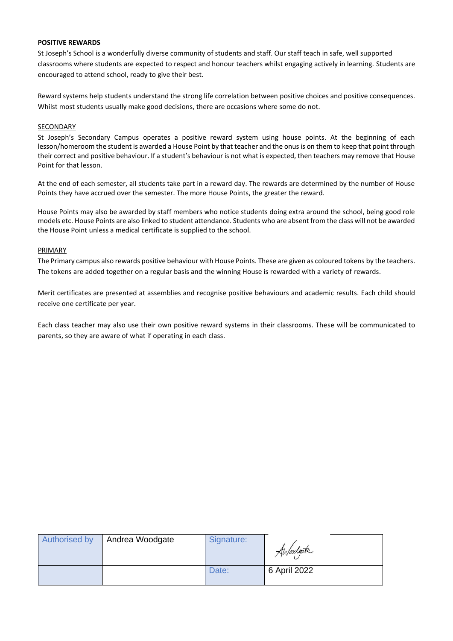#### **POSITIVE REWARDS**

St Joseph's School is a wonderfully diverse community of students and staff. Our staff teach in safe, well supported classrooms where students are expected to respect and honour teachers whilst engaging actively in learning. Students are encouraged to attend school, ready to give their best.

Reward systems help students understand the strong life correlation between positive choices and positive consequences. Whilst most students usually make good decisions, there are occasions where some do not.

#### SECONDARY

St Joseph's Secondary Campus operates a positive reward system using house points. At the beginning of each lesson/homeroom the student is awarded a House Point by that teacher and the onus is on them to keep that point through their correct and positive behaviour. If a student's behaviour is not what is expected, then teachers may remove that House Point for that lesson.

At the end of each semester, all students take part in a reward day. The rewards are determined by the number of House Points they have accrued over the semester. The more House Points, the greater the reward.

House Points may also be awarded by staff members who notice students doing extra around the school, being good role models etc. House Points are also linked to student attendance. Students who are absent from the class will not be awarded the House Point unless a medical certificate is supplied to the school.

#### PRIMARY

The Primary campus also rewards positive behaviour with House Points. These are given as coloured tokens by the teachers. The tokens are added together on a regular basis and the winning House is rewarded with a variety of rewards.

Merit certificates are presented at assemblies and recognise positive behaviours and academic results. Each child should receive one certificate per year.

Each class teacher may also use their own positive reward systems in their classrooms. These will be communicated to parents, so they are aware of what if operating in each class.

| Authorised by | Andrea Woodgate | Signature: | Ahloodgate   |
|---------------|-----------------|------------|--------------|
|               |                 | Date:      | 6 April 2022 |